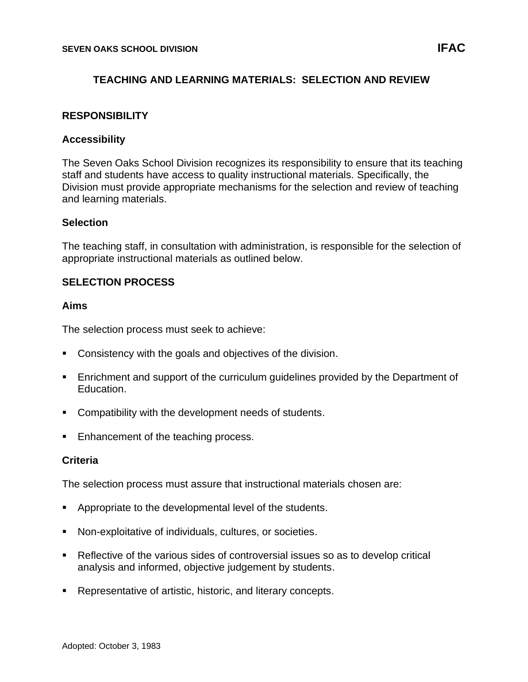# **TEACHING AND LEARNING MATERIALS: SELECTION AND REVIEW**

# **RESPONSIBILITY**

### **Accessibility**

The Seven Oaks School Division recognizes its responsibility to ensure that its teaching staff and students have access to quality instructional materials. Specifically, the Division must provide appropriate mechanisms for the selection and review of teaching and learning materials.

#### **Selection**

The teaching staff, in consultation with administration, is responsible for the selection of appropriate instructional materials as outlined below.

# **SELECTION PROCESS**

#### **Aims**

The selection process must seek to achieve:

- Consistency with the goals and objectives of the division.
- Enrichment and support of the curriculum guidelines provided by the Department of Education.
- Compatibility with the development needs of students.
- Enhancement of the teaching process.

#### **Criteria**

The selection process must assure that instructional materials chosen are:

- Appropriate to the developmental level of the students.
- Non-exploitative of individuals, cultures, or societies.
- Reflective of the various sides of controversial issues so as to develop critical analysis and informed, objective judgement by students.
- Representative of artistic, historic, and literary concepts.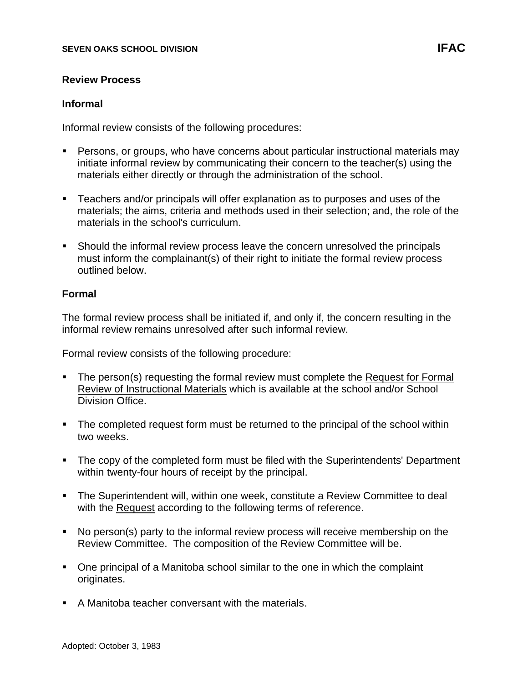### **Informal**

Informal review consists of the following procedures:

- Persons, or groups, who have concerns about particular instructional materials may initiate informal review by communicating their concern to the teacher(s) using the materials either directly or through the administration of the school.
- **EXECT** Teachers and/or principals will offer explanation as to purposes and uses of the materials; the aims, criteria and methods used in their selection; and, the role of the materials in the school's curriculum.
- Should the informal review process leave the concern unresolved the principals must inform the complainant(s) of their right to initiate the formal review process outlined below.

#### **Formal**

The formal review process shall be initiated if, and only if, the concern resulting in the informal review remains unresolved after such informal review.

Formal review consists of the following procedure:

- The person(s) requesting the formal review must complete the Request for Formal Review of Instructional Materials which is available at the school and/or School Division Office.
- The completed request form must be returned to the principal of the school within two weeks.
- The copy of the completed form must be filed with the Superintendents' Department within twenty-four hours of receipt by the principal.
- The Superintendent will, within one week, constitute a Review Committee to deal with the Request according to the following terms of reference.
- No person(s) party to the informal review process will receive membership on the Review Committee. The composition of the Review Committee will be.
- One principal of a Manitoba school similar to the one in which the complaint originates.
- A Manitoba teacher conversant with the materials.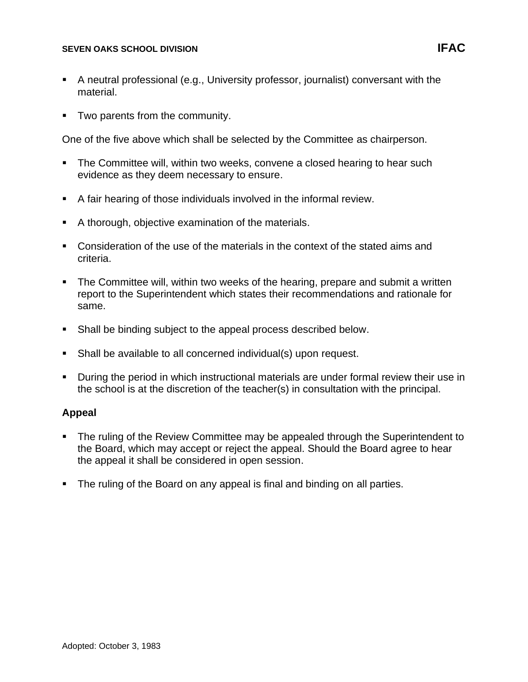- A neutral professional (e.g., University professor, journalist) conversant with the material.
- Two parents from the community.

One of the five above which shall be selected by the Committee as chairperson.

- The Committee will, within two weeks, convene a closed hearing to hear such evidence as they deem necessary to ensure.
- A fair hearing of those individuals involved in the informal review.
- A thorough, objective examination of the materials.
- Consideration of the use of the materials in the context of the stated aims and criteria.
- The Committee will, within two weeks of the hearing, prepare and submit a written report to the Superintendent which states their recommendations and rationale for same.
- Shall be binding subject to the appeal process described below.
- Shall be available to all concerned individual(s) upon request.
- During the period in which instructional materials are under formal review their use in the school is at the discretion of the teacher(s) in consultation with the principal.

# **Appeal**

- The ruling of the Review Committee may be appealed through the Superintendent to the Board, which may accept or reject the appeal. Should the Board agree to hear the appeal it shall be considered in open session.
- The ruling of the Board on any appeal is final and binding on all parties.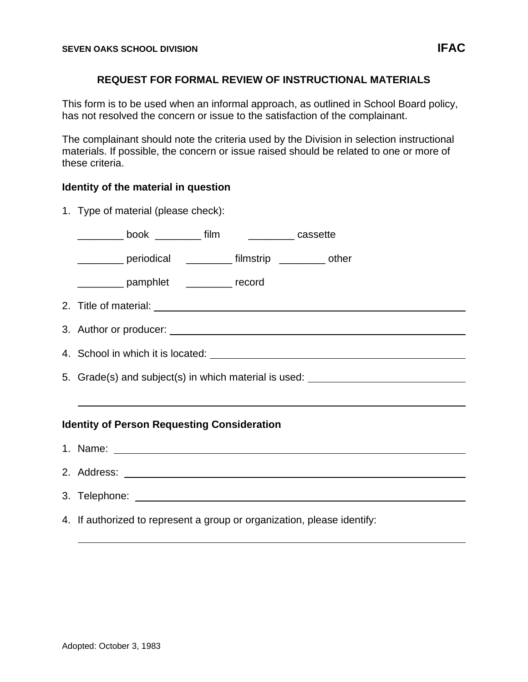### **REQUEST FOR FORMAL REVIEW OF INSTRUCTIONAL MATERIALS**

This form is to be used when an informal approach, as outlined in School Board policy, has not resolved the concern or issue to the satisfaction of the complainant.

The complainant should note the criteria used by the Division in selection instructional materials. If possible, the concern or issue raised should be related to one or more of these criteria.

# **Identity of the material in question**

|                                                    | 1. Type of material (please check):                                              |
|----------------------------------------------------|----------------------------------------------------------------------------------|
|                                                    | __________ book _________ film __________ cassette                               |
|                                                    | __________ periodical _________ filmstrip _________ other                        |
|                                                    | ____________ pamphlet ___________ record                                         |
|                                                    |                                                                                  |
|                                                    |                                                                                  |
|                                                    |                                                                                  |
|                                                    | 5. Grade(s) and subject(s) in which material is used: __________________________ |
|                                                    |                                                                                  |
| <b>Identity of Person Requesting Consideration</b> |                                                                                  |
|                                                    |                                                                                  |
|                                                    |                                                                                  |
|                                                    |                                                                                  |
|                                                    | 4. If authorized to represent a group or organization, please identify:          |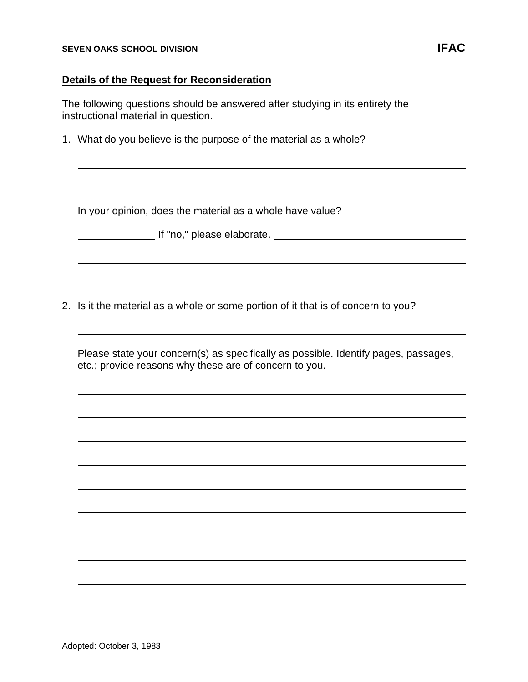### **Details of the Request for Reconsideration**

The following questions should be answered after studying in its entirety the instructional material in question.

1. What do you believe is the purpose of the material as a whole?

In your opinion, does the material as a whole have value?

**If "no," please elaborate.** The state of the state of the state of the state of the state of the state of the state of the state of the state of the state of the state of the state of the state of the state of the state o

2. Is it the material as a whole or some portion of it that is of concern to you?

Please state your concern(s) as specifically as possible. Identify pages, passages, etc.; provide reasons why these are of concern to you.